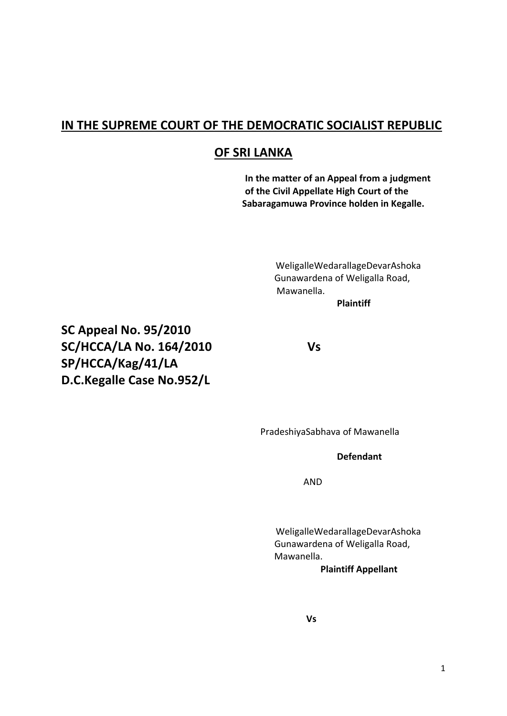### **IN THE SUPREME COURT OF THE DEMOCRATIC SOCIALIST REPUBLIC**

### **OF SRI LANKA**

**In the matter of an Appeal from a judgment of the Civil Appellate High Court of the Sabaragamuwa Province holden in Kegalle.**

> WeligalleWedarallageDevarAshoka Gunawardena of Weligalla Road, Mawanella.

**Plaintiff**

**SC Appeal No. 95/2010 SC/HCCA/LA No. 164/2010 Vs SP/HCCA/Kag/41/LA D.C.Kegalle Case No.952/L**

PradeshiyaSabhava of Mawanella

### **Defendant**

AND

WeligalleWedarallageDevarAshoka Gunawardena of Weligalla Road, Mawanella.

 **Plaintiff Appellant**

**Vs**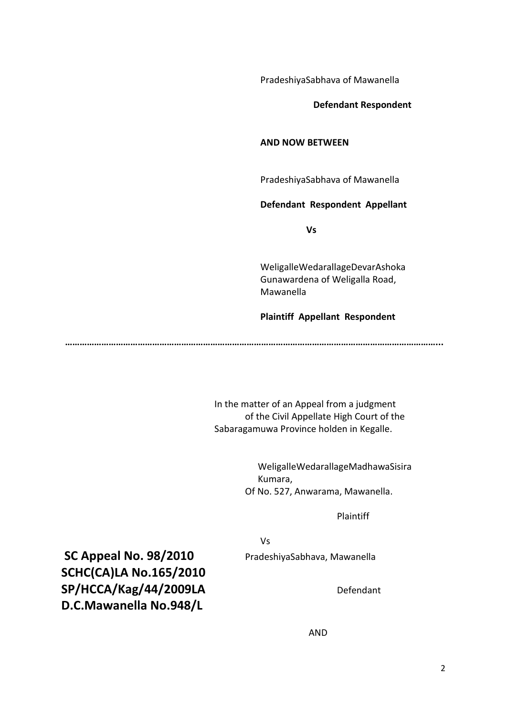PradeshiyaSabhava of Mawanella

 **Defendant Respondent**

#### **AND NOW BETWEEN**

PradeshiyaSabhava of Mawanella

#### **Defendant Respondent Appellant**

**Vs**

WeligalleWedarallageDevarAshoka Gunawardena of Weligalla Road, Mawanella

#### **Plaintiff Appellant Respondent**

**………………………………………………………………………………………………………………………………………...**

In the matter of an Appeal from a judgment of the Civil Appellate High Court of the Sabaragamuwa Province holden in Kegalle.

> WeligalleWedarallageMadhawaSisira Kumara, Of No. 527, Anwarama, Mawanella.

> > Plaintiff

Vs

**SC Appeal No. 98/2010** PradeshiyaSabhava, Mawanella **SCHC(CA)LA No.165/2010** SP/HCCA/Kag/44/2009LA Defendant **D.C.Mawanella No.948/L**

AND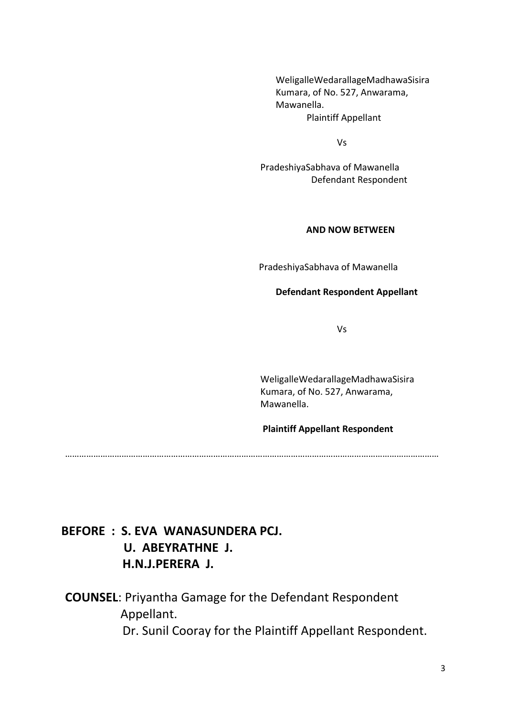WeligalleWedarallageMadhawaSisira Kumara, of No. 527, Anwarama, Mawanella. Plaintiff Appellant

Vs

PradeshiyaSabhava of Mawanella Defendant Respondent

#### **AND NOW BETWEEN**

PradeshiyaSabhava of Mawanella

#### **Defendant Respondent Appellant**

Vs

WeligalleWedarallageMadhawaSisira Kumara, of No. 527, Anwarama, Mawanella.

#### **Plaintiff Appellant Respondent**

……………………………………………………………………………………………………………………………………………

# **BEFORE : S. EVA WANASUNDERA PCJ. U. ABEYRATHNE J. H.N.J.PERERA J.**

**COUNSEL**: Priyantha Gamage for the Defendant Respondent Appellant. Dr. Sunil Cooray for the Plaintiff Appellant Respondent.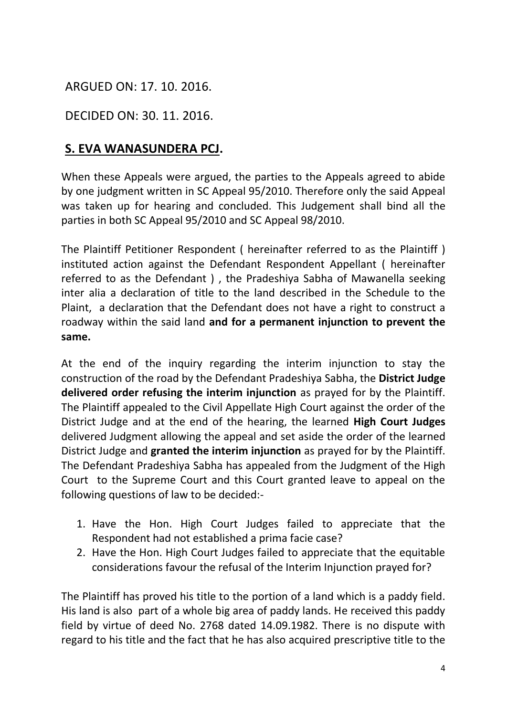# ARGUED ON: 17. 10. 2016.

### DECIDED ON: 30. 11. 2016.

# **S. EVA WANASUNDERA PCJ.**

When these Appeals were argued, the parties to the Appeals agreed to abide by one judgment written in SC Appeal 95/2010. Therefore only the said Appeal was taken up for hearing and concluded. This Judgement shall bind all the parties in both SC Appeal 95/2010 and SC Appeal 98/2010.

The Plaintiff Petitioner Respondent ( hereinafter referred to as the Plaintiff ) instituted action against the Defendant Respondent Appellant ( hereinafter referred to as the Defendant ) , the Pradeshiya Sabha of Mawanella seeking inter alia a declaration of title to the land described in the Schedule to the Plaint, a declaration that the Defendant does not have a right to construct a roadway within the said land **and for a permanent injunction to prevent the same.**

At the end of the inquiry regarding the interim injunction to stay the construction of the road by the Defendant Pradeshiya Sabha, the **District Judge delivered order refusing the interim injunction** as prayed for by the Plaintiff. The Plaintiff appealed to the Civil Appellate High Court against the order of the District Judge and at the end of the hearing, the learned **High Court Judges**  delivered Judgment allowing the appeal and set aside the order of the learned District Judge and **granted the interim injunction** as prayed for by the Plaintiff. The Defendant Pradeshiya Sabha has appealed from the Judgment of the High Court to the Supreme Court and this Court granted leave to appeal on the following questions of law to be decided:-

- 1. Have the Hon. High Court Judges failed to appreciate that the Respondent had not established a prima facie case?
- 2. Have the Hon. High Court Judges failed to appreciate that the equitable considerations favour the refusal of the Interim Injunction prayed for?

The Plaintiff has proved his title to the portion of a land which is a paddy field. His land is also part of a whole big area of paddy lands. He received this paddy field by virtue of deed No. 2768 dated 14.09.1982. There is no dispute with regard to his title and the fact that he has also acquired prescriptive title to the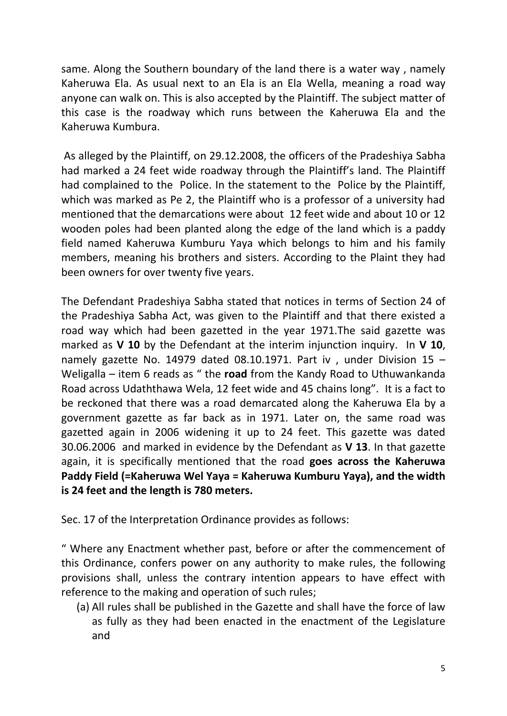same. Along the Southern boundary of the land there is a water way , namely Kaheruwa Ela. As usual next to an Ela is an Ela Wella, meaning a road way anyone can walk on. This is also accepted by the Plaintiff. The subject matter of this case is the roadway which runs between the Kaheruwa Ela and the Kaheruwa Kumbura.

As alleged by the Plaintiff, on 29.12.2008, the officers of the Pradeshiya Sabha had marked a 24 feet wide roadway through the Plaintiff's land. The Plaintiff had complained to the Police. In the statement to the Police by the Plaintiff, which was marked as Pe 2, the Plaintiff who is a professor of a university had mentioned that the demarcations were about 12 feet wide and about 10 or 12 wooden poles had been planted along the edge of the land which is a paddy field named Kaheruwa Kumburu Yaya which belongs to him and his family members, meaning his brothers and sisters. According to the Plaint they had been owners for over twenty five years.

The Defendant Pradeshiya Sabha stated that notices in terms of Section 24 of the Pradeshiya Sabha Act, was given to the Plaintiff and that there existed a road way which had been gazetted in the year 1971.The said gazette was marked as **V 10** by the Defendant at the interim injunction inquiry. In **V 10**, namely gazette No. 14979 dated 08.10.1971. Part iv, under Division 15  $-$ Weligalla – item 6 reads as " the **road** from the Kandy Road to Uthuwankanda Road across Udaththawa Wela, 12 feet wide and 45 chains long". It is a fact to be reckoned that there was a road demarcated along the Kaheruwa Ela by a government gazette as far back as in 1971. Later on, the same road was gazetted again in 2006 widening it up to 24 feet. This gazette was dated 30.06.2006 and marked in evidence by the Defendant as **V 13**. In that gazette again, it is specifically mentioned that the road **goes across the Kaheruwa Paddy Field (=Kaheruwa Wel Yaya = Kaheruwa Kumburu Yaya), and the width is 24 feet and the length is 780 meters.**

Sec. 17 of the Interpretation Ordinance provides as follows:

" Where any Enactment whether past, before or after the commencement of this Ordinance, confers power on any authority to make rules, the following provisions shall, unless the contrary intention appears to have effect with reference to the making and operation of such rules;

(a) All rules shall be published in the Gazette and shall have the force of law as fully as they had been enacted in the enactment of the Legislature and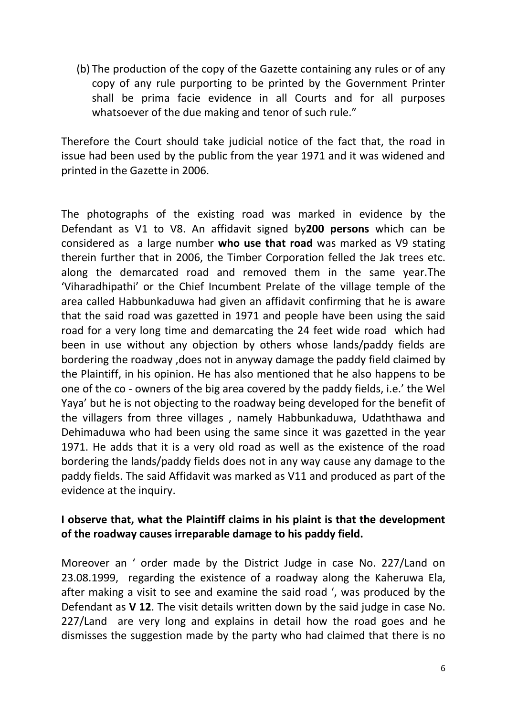(b) The production of the copy of the Gazette containing any rules or of any copy of any rule purporting to be printed by the Government Printer shall be prima facie evidence in all Courts and for all purposes whatsoever of the due making and tenor of such rule."

Therefore the Court should take judicial notice of the fact that, the road in issue had been used by the public from the year 1971 and it was widened and printed in the Gazette in 2006.

The photographs of the existing road was marked in evidence by the Defendant as V1 to V8. An affidavit signed by**200 persons** which can be considered as a large number **who use that road** was marked as V9 stating therein further that in 2006, the Timber Corporation felled the Jak trees etc. along the demarcated road and removed them in the same year.The 'Viharadhipathi' or the Chief Incumbent Prelate of the village temple of the area called Habbunkaduwa had given an affidavit confirming that he is aware that the said road was gazetted in 1971 and people have been using the said road for a very long time and demarcating the 24 feet wide road which had been in use without any objection by others whose lands/paddy fields are bordering the roadway ,does not in anyway damage the paddy field claimed by the Plaintiff, in his opinion. He has also mentioned that he also happens to be one of the co - owners of the big area covered by the paddy fields, i.e.' the Wel Yaya' but he is not objecting to the roadway being developed for the benefit of the villagers from three villages , namely Habbunkaduwa, Udaththawa and Dehimaduwa who had been using the same since it was gazetted in the year 1971. He adds that it is a very old road as well as the existence of the road bordering the lands/paddy fields does not in any way cause any damage to the paddy fields. The said Affidavit was marked as V11 and produced as part of the evidence at the inquiry.

### **I observe that, what the Plaintiff claims in his plaint is that the development of the roadway causes irreparable damage to his paddy field.**

Moreover an ' order made by the District Judge in case No. 227/Land on 23.08.1999, regarding the existence of a roadway along the Kaheruwa Ela, after making a visit to see and examine the said road ', was produced by the Defendant as **V 12**. The visit details written down by the said judge in case No. 227/Land are very long and explains in detail how the road goes and he dismisses the suggestion made by the party who had claimed that there is no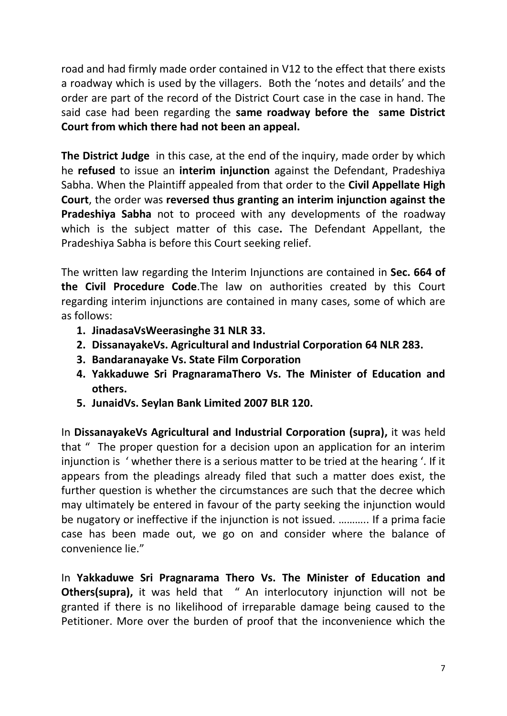road and had firmly made order contained in V12 to the effect that there exists a roadway which is used by the villagers. Both the 'notes and details' and the order are part of the record of the District Court case in the case in hand. The said case had been regarding the **same roadway before the same District Court from which there had not been an appeal.**

**The District Judge** in this case, at the end of the inquiry, made order by which he **refused** to issue an **interim injunction** against the Defendant, Pradeshiya Sabha. When the Plaintiff appealed from that order to the **Civil Appellate High Court**, the order was **reversed thus granting an interim injunction against the Pradeshiya Sabha** not to proceed with any developments of the roadway which is the subject matter of this case**.** The Defendant Appellant, the Pradeshiya Sabha is before this Court seeking relief.

The written law regarding the Interim Injunctions are contained in **Sec. 664 of the Civil Procedure Code**.The law on authorities created by this Court regarding interim injunctions are contained in many cases, some of which are as follows:

- **1. JinadasaVsWeerasinghe 31 NLR 33.**
- **2. DissanayakeVs. Agricultural and Industrial Corporation 64 NLR 283.**
- **3. Bandaranayake Vs. State Film Corporation**
- **4. Yakkaduwe Sri PragnaramaThero Vs. The Minister of Education and others.**
- **5. JunaidVs. Seylan Bank Limited 2007 BLR 120.**

In **DissanayakeVs Agricultural and Industrial Corporation (supra),** it was held that " The proper question for a decision upon an application for an interim injunction is ' whether there is a serious matter to be tried at the hearing '. If it appears from the pleadings already filed that such a matter does exist, the further question is whether the circumstances are such that the decree which may ultimately be entered in favour of the party seeking the injunction would be nugatory or ineffective if the injunction is not issued. ……….. If a prima facie case has been made out, we go on and consider where the balance of convenience lie."

In **Yakkaduwe Sri Pragnarama Thero Vs. The Minister of Education and Others(supra),** it was held that " An interlocutory injunction will not be granted if there is no likelihood of irreparable damage being caused to the Petitioner. More over the burden of proof that the inconvenience which the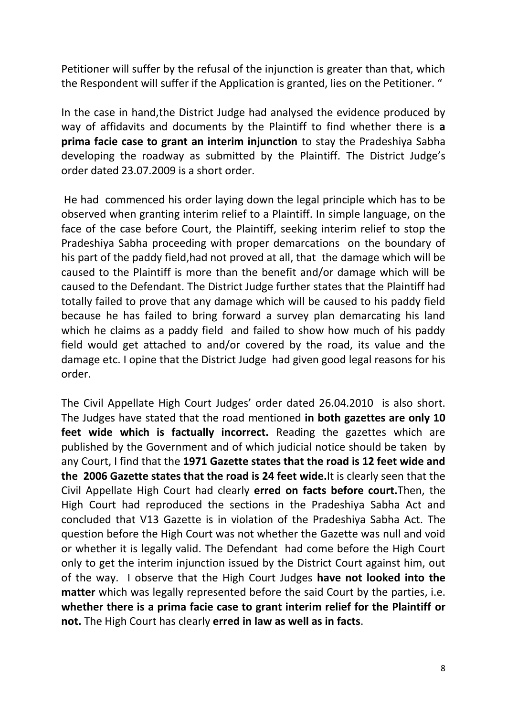Petitioner will suffer by the refusal of the injunction is greater than that, which the Respondent will suffer if the Application is granted, lies on the Petitioner. "

In the case in hand,the District Judge had analysed the evidence produced by way of affidavits and documents by the Plaintiff to find whether there is **a prima facie case to grant an interim injunction** to stay the Pradeshiya Sabha developing the roadway as submitted by the Plaintiff. The District Judge's order dated 23.07.2009 is a short order.

He had commenced his order laying down the legal principle which has to be observed when granting interim relief to a Plaintiff. In simple language, on the face of the case before Court, the Plaintiff, seeking interim relief to stop the Pradeshiya Sabha proceeding with proper demarcations on the boundary of his part of the paddy field,had not proved at all, that the damage which will be caused to the Plaintiff is more than the benefit and/or damage which will be caused to the Defendant. The District Judge further states that the Plaintiff had totally failed to prove that any damage which will be caused to his paddy field because he has failed to bring forward a survey plan demarcating his land which he claims as a paddy field and failed to show how much of his paddy field would get attached to and/or covered by the road, its value and the damage etc. I opine that the District Judge had given good legal reasons for his order.

The Civil Appellate High Court Judges' order dated 26.04.2010 is also short. The Judges have stated that the road mentioned **in both gazettes are only 10 feet wide which is factually incorrect.** Reading the gazettes which are published by the Government and of which judicial notice should be taken by any Court, I find that the **1971 Gazette states that the road is 12 feet wide and the 2006 Gazette states that the road is 24 feet wide.**It is clearly seen that the Civil Appellate High Court had clearly **erred on facts before court.**Then, the High Court had reproduced the sections in the Pradeshiya Sabha Act and concluded that V13 Gazette is in violation of the Pradeshiya Sabha Act. The question before the High Court was not whether the Gazette was null and void or whether it is legally valid. The Defendant had come before the High Court only to get the interim injunction issued by the District Court against him, out of the way. I observe that the High Court Judges **have not looked into the matter** which was legally represented before the said Court by the parties, i.e. **whether there is a prima facie case to grant interim relief for the Plaintiff or not.** The High Court has clearly **erred in law as well as in facts**.